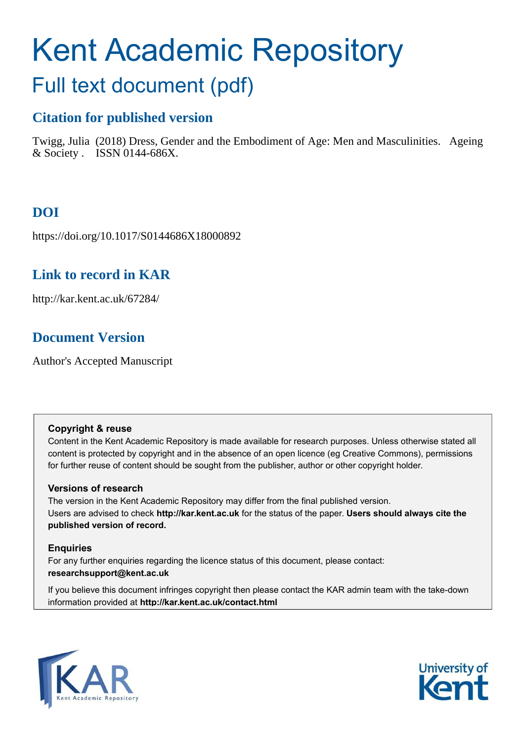# Kent Academic Repository Full text document (pdf)

## **Citation for published version**

Twigg, Julia (2018) Dress, Gender and the Embodiment of Age: Men and Masculinities. Ageing & Society . ISSN 0144-686X.

# **DOI**

https://doi.org/10.1017/S0144686X18000892

# **Link to record in KAR**

http://kar.kent.ac.uk/67284/

# **Document Version**

Author's Accepted Manuscript

## **Copyright & reuse**

Content in the Kent Academic Repository is made available for research purposes. Unless otherwise stated all content is protected by copyright and in the absence of an open licence (eg Creative Commons), permissions for further reuse of content should be sought from the publisher, author or other copyright holder.

## **Versions of research**

The version in the Kent Academic Repository may differ from the final published version. Users are advised to check **http://kar.kent.ac.uk** for the status of the paper. **Users should always cite the published version of record.**

## **Enquiries**

For any further enquiries regarding the licence status of this document, please contact: **researchsupport@kent.ac.uk**

If you believe this document infringes copyright then please contact the KAR admin team with the take-down information provided at **http://kar.kent.ac.uk/contact.html**



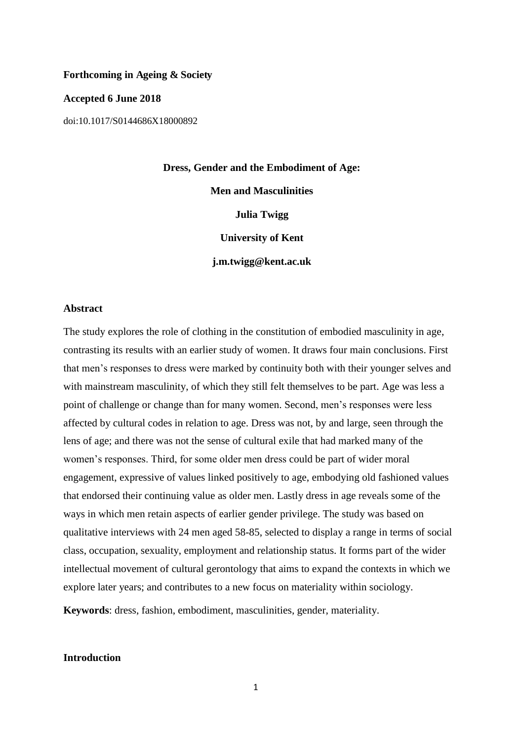#### **Forthcoming in Ageing & Society**

#### **Accepted 6 June 2018**

doi:10.1017/S0144686X18000892

**Dress, Gender and the Embodiment of Age: Men and Masculinities Julia Twigg University of Kent j.m.twigg@kent.ac.uk** 

#### **Abstract**

The study explores the role of clothing in the constitution of embodied masculinity in age, contrasting its results with an earlier study of women. It draws four main conclusions. First that men's responses to dress were marked by continuity both with their younger selves and with mainstream masculinity, of which they still felt themselves to be part. Age was less a point of challenge or change than for many women. Second, men's responses were less affected by cultural codes in relation to age. Dress was not, by and large, seen through the lens of age; and there was not the sense of cultural exile that had marked many of the women's responses. Third, for some older men dress could be part of wider moral engagement, expressive of values linked positively to age, embodying old fashioned values that endorsed their continuing value as older men. Lastly dress in age reveals some of the ways in which men retain aspects of earlier gender privilege. The study was based on qualitative interviews with 24 men aged 58-85, selected to display a range in terms of social class, occupation, sexuality, employment and relationship status. It forms part of the wider intellectual movement of cultural gerontology that aims to expand the contexts in which we explore later years; and contributes to a new focus on materiality within sociology.

**Keywords**: dress, fashion, embodiment, masculinities, gender, materiality.

#### **Introduction**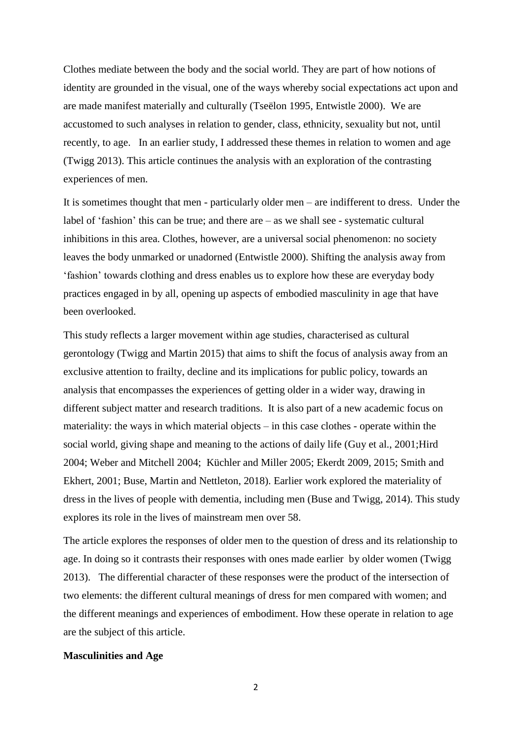Clothes mediate between the body and the social world. They are part of how notions of identity are grounded in the visual, one of the ways whereby social expectations act upon and are made manifest materially and culturally (Tseëlon 1995, Entwistle 2000). We are accustomed to such analyses in relation to gender, class, ethnicity, sexuality but not, until recently, to age. In an earlier study, I addressed these themes in relation to women and age (Twigg 2013). This article continues the analysis with an exploration of the contrasting experiences of men.

It is sometimes thought that men - particularly older men – are indifferent to dress. Under the label of 'fashion' this can be true; and there are – as we shall see - systematic cultural inhibitions in this area. Clothes, however, are a universal social phenomenon: no society leaves the body unmarked or unadorned (Entwistle 2000). Shifting the analysis away from 'fashion' towards clothing and dress enables us to explore how these are everyday body practices engaged in by all, opening up aspects of embodied masculinity in age that have been overlooked.

This study reflects a larger movement within age studies, characterised as cultural gerontology (Twigg and Martin 2015) that aims to shift the focus of analysis away from an exclusive attention to frailty, decline and its implications for public policy, towards an analysis that encompasses the experiences of getting older in a wider way, drawing in different subject matter and research traditions. It is also part of a new academic focus on materiality: the ways in which material objects – in this case clothes - operate within the social world, giving shape and meaning to the actions of daily life (Guy et al., 2001;Hird 2004; Weber and Mitchell 2004; Küchler and Miller 2005; Ekerdt 2009, 2015; Smith and Ekhert, 2001; Buse, Martin and Nettleton, 2018). Earlier work explored the materiality of dress in the lives of people with dementia, including men (Buse and Twigg, 2014). This study explores its role in the lives of mainstream men over 58.

The article explores the responses of older men to the question of dress and its relationship to age. In doing so it contrasts their responses with ones made earlier by older women (Twigg 2013). The differential character of these responses were the product of the intersection of two elements: the different cultural meanings of dress for men compared with women; and the different meanings and experiences of embodiment. How these operate in relation to age are the subject of this article.

#### **Masculinities and Age**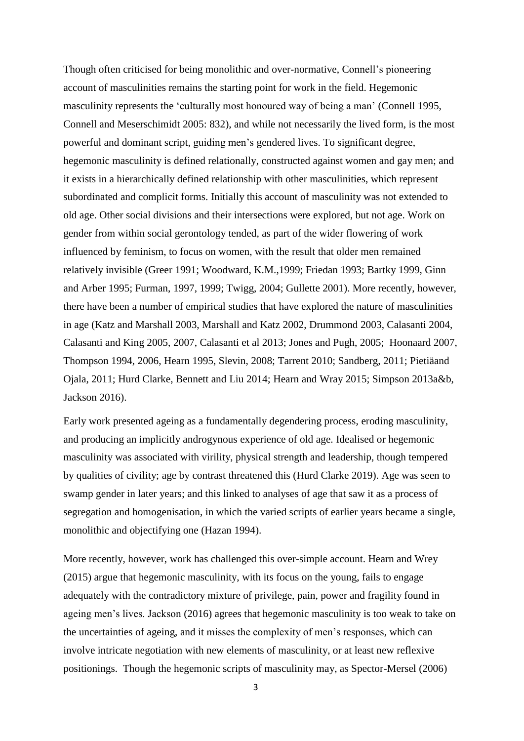Though often criticised for being monolithic and over-normative, Connell's pioneering account of masculinities remains the starting point for work in the field. Hegemonic masculinity represents the 'culturally most honoured way of being a man' (Connell 1995, Connell and Meserschimidt 2005: 832), and while not necessarily the lived form, is the most powerful and dominant script, guiding men's gendered lives. To significant degree, hegemonic masculinity is defined relationally, constructed against women and gay men; and it exists in a hierarchically defined relationship with other masculinities, which represent subordinated and complicit forms. Initially this account of masculinity was not extended to old age. Other social divisions and their intersections were explored, but not age. Work on gender from within social gerontology tended, as part of the wider flowering of work influenced by feminism, to focus on women, with the result that older men remained relatively invisible (Greer 1991; Woodward, K.M.,1999; Friedan 1993; Bartky 1999, Ginn and Arber 1995; Furman, 1997, 1999; Twigg, 2004; Gullette 2001). More recently, however, there have been a number of empirical studies that have explored the nature of masculinities in age (Katz and Marshall 2003, Marshall and Katz 2002, Drummond 2003, Calasanti 2004, Calasanti and King 2005, 2007, Calasanti et al 2013; Jones and Pugh, 2005; Hoonaard 2007, Thompson 1994, 2006, Hearn 1995, Slevin, 2008; Tarrent 2010; Sandberg, 2011; Pietiäand Ojala, 2011; Hurd Clarke, Bennett and Liu 2014; Hearn and Wray 2015; Simpson 2013a&b, Jackson 2016).

Early work presented ageing as a fundamentally degendering process, eroding masculinity, and producing an implicitly androgynous experience of old age. Idealised or hegemonic masculinity was associated with virility, physical strength and leadership, though tempered by qualities of civility; age by contrast threatened this (Hurd Clarke 2019). Age was seen to swamp gender in later years; and this linked to analyses of age that saw it as a process of segregation and homogenisation, in which the varied scripts of earlier years became a single, monolithic and objectifying one (Hazan 1994).

More recently, however, work has challenged this over-simple account. Hearn and Wrey (2015) argue that hegemonic masculinity, with its focus on the young, fails to engage adequately with the contradictory mixture of privilege, pain, power and fragility found in ageing men's lives. Jackson (2016) agrees that hegemonic masculinity is too weak to take on the uncertainties of ageing, and it misses the complexity of men's responses, which can involve intricate negotiation with new elements of masculinity, or at least new reflexive positionings. Though the hegemonic scripts of masculinity may, as Spector-Mersel (2006)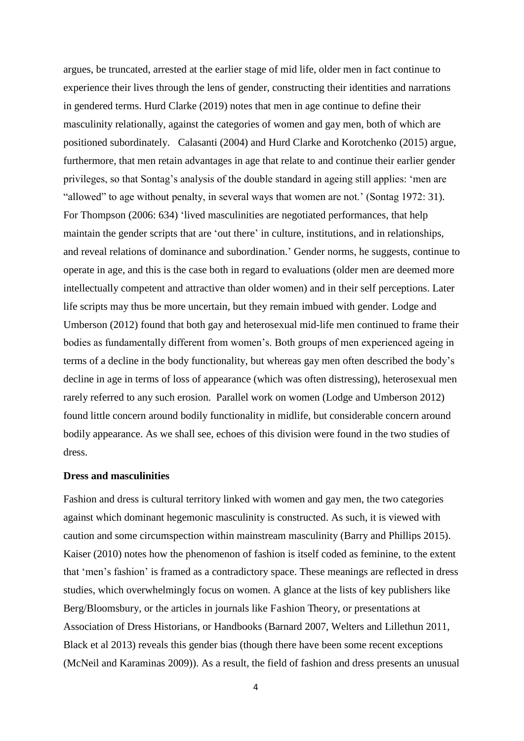argues, be truncated, arrested at the earlier stage of mid life, older men in fact continue to experience their lives through the lens of gender, constructing their identities and narrations in gendered terms. Hurd Clarke (2019) notes that men in age continue to define their masculinity relationally, against the categories of women and gay men, both of which are positioned subordinately. Calasanti (2004) and Hurd Clarke and Korotchenko (2015) argue, furthermore, that men retain advantages in age that relate to and continue their earlier gender privileges, so that Sontag's analysis of the double standard in ageing still applies: 'men are "allowed" to age without penalty, in several ways that women are not.' (Sontag 1972: 31). For Thompson (2006: 634) 'lived masculinities are negotiated performances, that help maintain the gender scripts that are 'out there' in culture, institutions, and in relationships, and reveal relations of dominance and subordination.' Gender norms, he suggests, continue to operate in age, and this is the case both in regard to evaluations (older men are deemed more intellectually competent and attractive than older women) and in their self perceptions. Later life scripts may thus be more uncertain, but they remain imbued with gender. Lodge and Umberson (2012) found that both gay and heterosexual mid-life men continued to frame their bodies as fundamentally different from women's. Both groups of men experienced ageing in terms of a decline in the body functionality, but whereas gay men often described the body's decline in age in terms of loss of appearance (which was often distressing), heterosexual men rarely referred to any such erosion. Parallel work on women (Lodge and Umberson 2012) found little concern around bodily functionality in midlife, but considerable concern around bodily appearance. As we shall see, echoes of this division were found in the two studies of dress.

#### **Dress and masculinities**

Fashion and dress is cultural territory linked with women and gay men, the two categories against which dominant hegemonic masculinity is constructed. As such, it is viewed with caution and some circumspection within mainstream masculinity (Barry and Phillips 2015). Kaiser (2010) notes how the phenomenon of fashion is itself coded as feminine, to the extent that 'men's fashion' is framed as a contradictory space. These meanings are reflected in dress studies, which overwhelmingly focus on women. A glance at the lists of key publishers like Berg/Bloomsbury, or the articles in journals like Fashion Theory, or presentations at Association of Dress Historians, or Handbooks (Barnard 2007, Welters and Lillethun 2011, Black et al 2013) reveals this gender bias (though there have been some recent exceptions (McNeil and Karaminas 2009)). As a result, the field of fashion and dress presents an unusual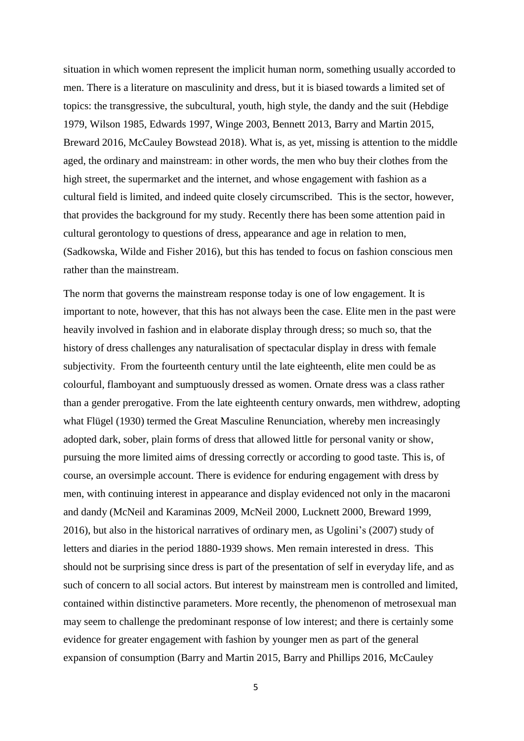situation in which women represent the implicit human norm, something usually accorded to men. There is a literature on masculinity and dress, but it is biased towards a limited set of topics: the transgressive, the subcultural, youth, high style, the dandy and the suit (Hebdige 1979, Wilson 1985, Edwards 1997, Winge 2003, Bennett 2013, Barry and Martin 2015, Breward 2016, McCauley Bowstead 2018). What is, as yet, missing is attention to the middle aged, the ordinary and mainstream: in other words, the men who buy their clothes from the high street, the supermarket and the internet, and whose engagement with fashion as a cultural field is limited, and indeed quite closely circumscribed. This is the sector, however, that provides the background for my study. Recently there has been some attention paid in cultural gerontology to questions of dress, appearance and age in relation to men, (Sadkowska, Wilde and Fisher 2016), but this has tended to focus on fashion conscious men rather than the mainstream.

The norm that governs the mainstream response today is one of low engagement. It is important to note, however, that this has not always been the case. Elite men in the past were heavily involved in fashion and in elaborate display through dress; so much so, that the history of dress challenges any naturalisation of spectacular display in dress with female subjectivity. From the fourteenth century until the late eighteenth, elite men could be as colourful, flamboyant and sumptuously dressed as women. Ornate dress was a class rather than a gender prerogative. From the late eighteenth century onwards, men withdrew, adopting what Flügel (1930) termed the Great Masculine Renunciation, whereby men increasingly adopted dark, sober, plain forms of dress that allowed little for personal vanity or show, pursuing the more limited aims of dressing correctly or according to good taste. This is, of course, an oversimple account. There is evidence for enduring engagement with dress by men, with continuing interest in appearance and display evidenced not only in the macaroni and dandy (McNeil and Karaminas 2009, McNeil 2000, Lucknett 2000, Breward 1999, 2016), but also in the historical narratives of ordinary men, as Ugolini's (2007) study of letters and diaries in the period 1880-1939 shows. Men remain interested in dress. This should not be surprising since dress is part of the presentation of self in everyday life, and as such of concern to all social actors. But interest by mainstream men is controlled and limited, contained within distinctive parameters. More recently, the phenomenon of metrosexual man may seem to challenge the predominant response of low interest; and there is certainly some evidence for greater engagement with fashion by younger men as part of the general expansion of consumption (Barry and Martin 2015, Barry and Phillips 2016, McCauley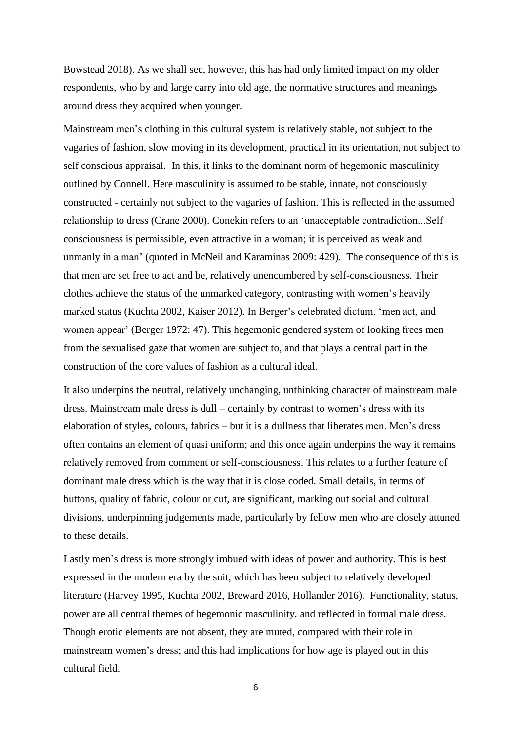Bowstead 2018). As we shall see, however, this has had only limited impact on my older respondents, who by and large carry into old age, the normative structures and meanings around dress they acquired when younger.

Mainstream men's clothing in this cultural system is relatively stable, not subject to the vagaries of fashion, slow moving in its development, practical in its orientation, not subject to self conscious appraisal. In this, it links to the dominant norm of hegemonic masculinity outlined by Connell. Here masculinity is assumed to be stable, innate, not consciously constructed - certainly not subject to the vagaries of fashion. This is reflected in the assumed relationship to dress (Crane 2000). Conekin refers to an 'unacceptable contradiction...Self consciousness is permissible, even attractive in a woman; it is perceived as weak and unmanly in a man' (quoted in McNeil and Karaminas 2009: 429). The consequence of this is that men are set free to act and be, relatively unencumbered by self-consciousness. Their clothes achieve the status of the unmarked category, contrasting with women's heavily marked status (Kuchta 2002, Kaiser 2012). In Berger's celebrated dictum, 'men act, and women appear' (Berger 1972: 47). This hegemonic gendered system of looking frees men from the sexualised gaze that women are subject to, and that plays a central part in the construction of the core values of fashion as a cultural ideal.

It also underpins the neutral, relatively unchanging, unthinking character of mainstream male dress. Mainstream male dress is dull – certainly by contrast to women's dress with its elaboration of styles, colours, fabrics – but it is a dullness that liberates men. Men's dress often contains an element of quasi uniform; and this once again underpins the way it remains relatively removed from comment or self-consciousness. This relates to a further feature of dominant male dress which is the way that it is close coded. Small details, in terms of buttons, quality of fabric, colour or cut, are significant, marking out social and cultural divisions, underpinning judgements made, particularly by fellow men who are closely attuned to these details.

Lastly men's dress is more strongly imbued with ideas of power and authority. This is best expressed in the modern era by the suit, which has been subject to relatively developed literature (Harvey 1995, Kuchta 2002, Breward 2016, Hollander 2016). Functionality, status, power are all central themes of hegemonic masculinity, and reflected in formal male dress. Though erotic elements are not absent, they are muted, compared with their role in mainstream women's dress; and this had implications for how age is played out in this cultural field.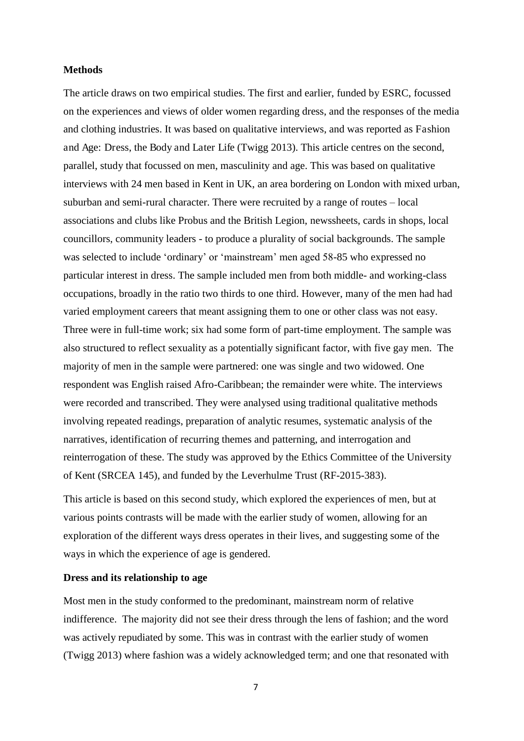#### **Methods**

The article draws on two empirical studies. The first and earlier, funded by ESRC, focussed on the experiences and views of older women regarding dress, and the responses of the media and clothing industries. It was based on qualitative interviews, and was reported as Fashion and Age: Dress, the Body and Later Life (Twigg 2013). This article centres on the second, parallel, study that focussed on men, masculinity and age. This was based on qualitative interviews with 24 men based in Kent in UK, an area bordering on London with mixed urban, suburban and semi-rural character. There were recruited by a range of routes – local associations and clubs like Probus and the British Legion, newssheets, cards in shops, local councillors, community leaders - to produce a plurality of social backgrounds. The sample was selected to include 'ordinary' or 'mainstream' men aged 58-85 who expressed no particular interest in dress. The sample included men from both middle- and working-class occupations, broadly in the ratio two thirds to one third. However, many of the men had had varied employment careers that meant assigning them to one or other class was not easy. Three were in full-time work; six had some form of part-time employment. The sample was also structured to reflect sexuality as a potentially significant factor, with five gay men. The majority of men in the sample were partnered: one was single and two widowed. One respondent was English raised Afro-Caribbean; the remainder were white. The interviews were recorded and transcribed. They were analysed using traditional qualitative methods involving repeated readings, preparation of analytic resumes, systematic analysis of the narratives, identification of recurring themes and patterning, and interrogation and reinterrogation of these. The study was approved by the Ethics Committee of the University of Kent (SRCEA 145), and funded by the Leverhulme Trust (RF-2015-383).

This article is based on this second study, which explored the experiences of men, but at various points contrasts will be made with the earlier study of women, allowing for an exploration of the different ways dress operates in their lives, and suggesting some of the ways in which the experience of age is gendered.

#### **Dress and its relationship to age**

Most men in the study conformed to the predominant, mainstream norm of relative indifference. The majority did not see their dress through the lens of fashion; and the word was actively repudiated by some. This was in contrast with the earlier study of women (Twigg 2013) where fashion was a widely acknowledged term; and one that resonated with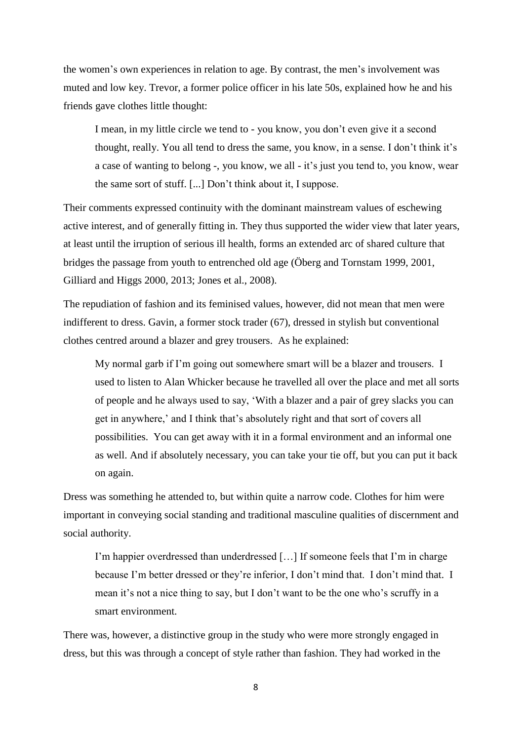the women's own experiences in relation to age. By contrast, the men's involvement was muted and low key. Trevor, a former police officer in his late 50s, explained how he and his friends gave clothes little thought:

I mean, in my little circle we tend to - you know, you don't even give it a second thought, really. You all tend to dress the same, you know, in a sense. I don't think it's a case of wanting to belong -, you know, we all - it's just you tend to, you know, wear the same sort of stuff. [...] Don't think about it, I suppose.

Their comments expressed continuity with the dominant mainstream values of eschewing active interest, and of generally fitting in. They thus supported the wider view that later years, at least until the irruption of serious ill health, forms an extended arc of shared culture that bridges the passage from youth to entrenched old age (Öberg and Tornstam 1999, 2001, Gilliard and Higgs 2000, 2013; Jones et al., 2008).

The repudiation of fashion and its feminised values, however, did not mean that men were indifferent to dress. Gavin, a former stock trader (67), dressed in stylish but conventional clothes centred around a blazer and grey trousers. As he explained:

My normal garb if I'm going out somewhere smart will be a blazer and trousers. I used to listen to Alan Whicker because he travelled all over the place and met all sorts of people and he always used to say, 'With a blazer and a pair of grey slacks you can get in anywhere,' and I think that's absolutely right and that sort of covers all possibilities. You can get away with it in a formal environment and an informal one as well. And if absolutely necessary, you can take your tie off, but you can put it back on again.

Dress was something he attended to, but within quite a narrow code. Clothes for him were important in conveying social standing and traditional masculine qualities of discernment and social authority.

I'm happier overdressed than underdressed […] If someone feels that I'm in charge because I'm better dressed or they're inferior, I don't mind that. I don't mind that. I mean it's not a nice thing to say, but I don't want to be the one who's scruffy in a smart environment.

There was, however, a distinctive group in the study who were more strongly engaged in dress, but this was through a concept of style rather than fashion. They had worked in the

<sup>8</sup>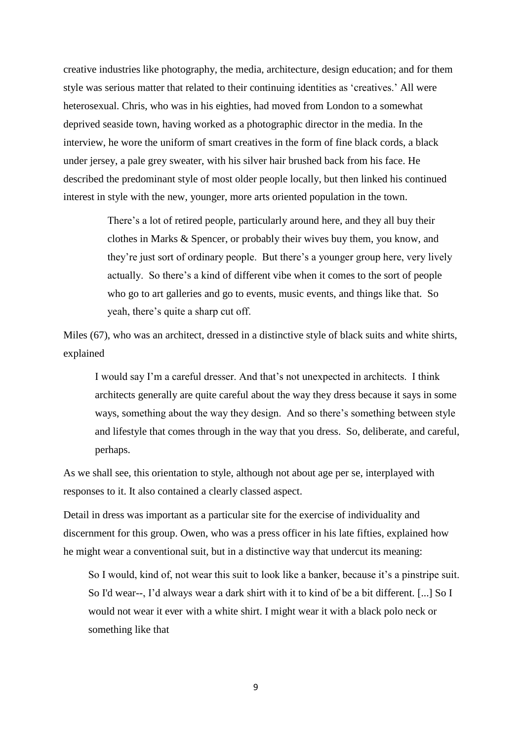creative industries like photography, the media, architecture, design education; and for them style was serious matter that related to their continuing identities as 'creatives.' All were heterosexual. Chris, who was in his eighties, had moved from London to a somewhat deprived seaside town, having worked as a photographic director in the media. In the interview, he wore the uniform of smart creatives in the form of fine black cords, a black under jersey, a pale grey sweater, with his silver hair brushed back from his face. He described the predominant style of most older people locally, but then linked his continued interest in style with the new, younger, more arts oriented population in the town.

> There's a lot of retired people, particularly around here, and they all buy their clothes in Marks & Spencer, or probably their wives buy them, you know, and they're just sort of ordinary people. But there's a younger group here, very lively actually. So there's a kind of different vibe when it comes to the sort of people who go to art galleries and go to events, music events, and things like that. So yeah, there's quite a sharp cut off.

Miles (67), who was an architect, dressed in a distinctive style of black suits and white shirts, explained

I would say I'm a careful dresser. And that's not unexpected in architects. I think architects generally are quite careful about the way they dress because it says in some ways, something about the way they design. And so there's something between style and lifestyle that comes through in the way that you dress. So, deliberate, and careful, perhaps.

As we shall see, this orientation to style, although not about age per se, interplayed with responses to it. It also contained a clearly classed aspect.

Detail in dress was important as a particular site for the exercise of individuality and discernment for this group. Owen, who was a press officer in his late fifties, explained how he might wear a conventional suit, but in a distinctive way that undercut its meaning:

So I would, kind of, not wear this suit to look like a banker, because it's a pinstripe suit. So I'd wear--, I'd always wear a dark shirt with it to kind of be a bit different. [...] So I would not wear it ever with a white shirt. I might wear it with a black polo neck or something like that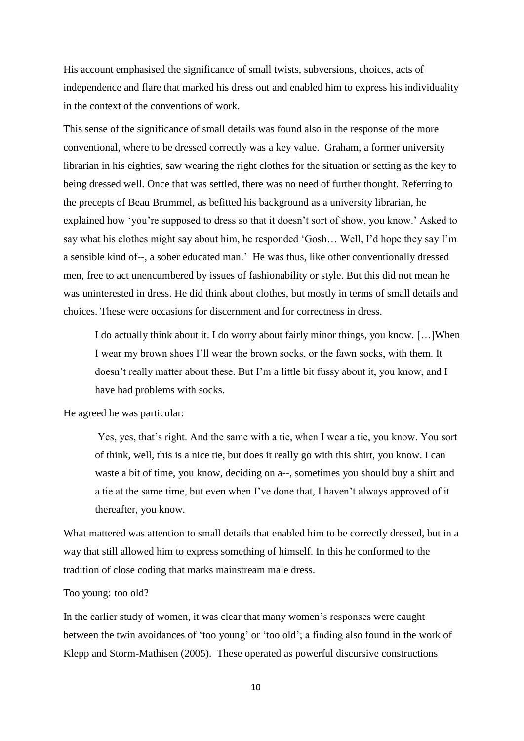His account emphasised the significance of small twists, subversions, choices, acts of independence and flare that marked his dress out and enabled him to express his individuality in the context of the conventions of work.

This sense of the significance of small details was found also in the response of the more conventional, where to be dressed correctly was a key value. Graham, a former university librarian in his eighties, saw wearing the right clothes for the situation or setting as the key to being dressed well. Once that was settled, there was no need of further thought. Referring to the precepts of Beau Brummel, as befitted his background as a university librarian, he explained how 'you're supposed to dress so that it doesn't sort of show, you know.' Asked to say what his clothes might say about him, he responded 'Gosh… Well, I'd hope they say I'm a sensible kind of--, a sober educated man.' He was thus, like other conventionally dressed men, free to act unencumbered by issues of fashionability or style. But this did not mean he was uninterested in dress. He did think about clothes, but mostly in terms of small details and choices. These were occasions for discernment and for correctness in dress.

I do actually think about it. I do worry about fairly minor things, you know. […]When I wear my brown shoes I'll wear the brown socks, or the fawn socks, with them. It doesn't really matter about these. But I'm a little bit fussy about it, you know, and I have had problems with socks.

He agreed he was particular:

Yes, yes, that's right. And the same with a tie, when I wear a tie, you know. You sort of think, well, this is a nice tie, but does it really go with this shirt, you know. I can waste a bit of time, you know, deciding on a--, sometimes you should buy a shirt and a tie at the same time, but even when I've done that, I haven't always approved of it thereafter, you know.

What mattered was attention to small details that enabled him to be correctly dressed, but in a way that still allowed him to express something of himself. In this he conformed to the tradition of close coding that marks mainstream male dress.

#### Too young: too old?

In the earlier study of women, it was clear that many women's responses were caught between the twin avoidances of 'too young' or 'too old'; a finding also found in the work of Klepp and Storm-Mathisen (2005). These operated as powerful discursive constructions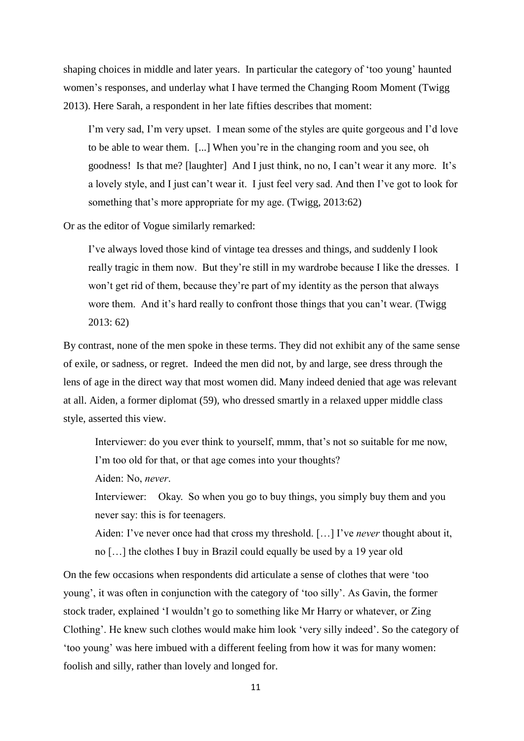shaping choices in middle and later years. In particular the category of 'too young' haunted women's responses, and underlay what I have termed the Changing Room Moment (Twigg 2013). Here Sarah, a respondent in her late fifties describes that moment:

I'm very sad, I'm very upset. I mean some of the styles are quite gorgeous and I'd love to be able to wear them. [...] When you're in the changing room and you see, oh goodness! Is that me? [laughter] And I just think, no no, I can't wear it any more. It's a lovely style, and I just can't wear it. I just feel very sad. And then I've got to look for something that's more appropriate for my age. (Twigg, 2013:62)

Or as the editor of Vogue similarly remarked:

I've always loved those kind of vintage tea dresses and things, and suddenly I look really tragic in them now. But they're still in my wardrobe because I like the dresses. I won't get rid of them, because they're part of my identity as the person that always wore them. And it's hard really to confront those things that you can't wear. (Twigg 2013: 62)

By contrast, none of the men spoke in these terms. They did not exhibit any of the same sense of exile, or sadness, or regret. Indeed the men did not, by and large, see dress through the lens of age in the direct way that most women did. Many indeed denied that age was relevant at all. Aiden, a former diplomat (59), who dressed smartly in a relaxed upper middle class style, asserted this view.

Interviewer: do you ever think to yourself, mmm, that's not so suitable for me now, I'm too old for that, or that age comes into your thoughts?

Aiden: No, *never*.

Interviewer: Okay. So when you go to buy things, you simply buy them and you never say: this is for teenagers.

Aiden: I've never once had that cross my threshold. […] I've *never* thought about it, no […] the clothes I buy in Brazil could equally be used by a 19 year old

On the few occasions when respondents did articulate a sense of clothes that were 'too young', it was often in conjunction with the category of 'too silly'. As Gavin, the former stock trader, explained 'I wouldn't go to something like Mr Harry or whatever, or Zing Clothing'. He knew such clothes would make him look 'very silly indeed'. So the category of 'too young' was here imbued with a different feeling from how it was for many women: foolish and silly, rather than lovely and longed for.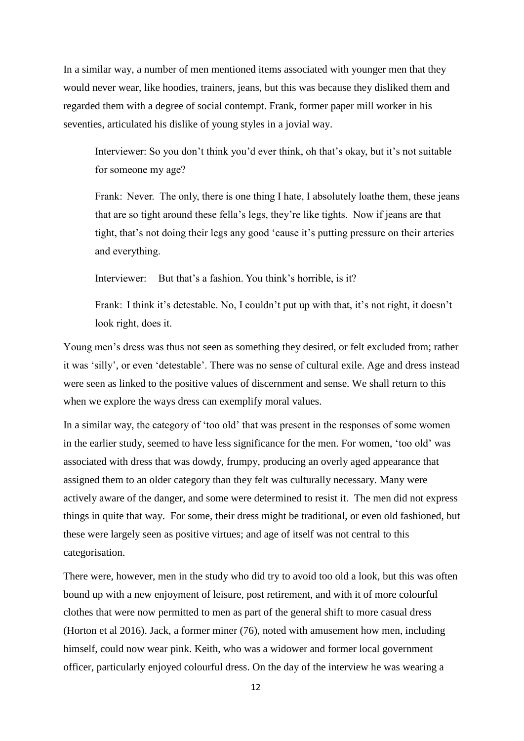In a similar way, a number of men mentioned items associated with younger men that they would never wear, like hoodies, trainers, jeans, but this was because they disliked them and regarded them with a degree of social contempt. Frank, former paper mill worker in his seventies, articulated his dislike of young styles in a jovial way.

Interviewer: So you don't think you'd ever think, oh that's okay, but it's not suitable for someone my age?

Frank: Never. The only, there is one thing I hate, I absolutely loathe them, these jeans that are so tight around these fella's legs, they're like tights. Now if jeans are that tight, that's not doing their legs any good 'cause it's putting pressure on their arteries and everything.

Interviewer: But that's a fashion. You think's horrible, is it?

Frank: I think it's detestable. No, I couldn't put up with that, it's not right, it doesn't look right, does it.

Young men's dress was thus not seen as something they desired, or felt excluded from; rather it was 'silly', or even 'detestable'. There was no sense of cultural exile. Age and dress instead were seen as linked to the positive values of discernment and sense. We shall return to this when we explore the ways dress can exemplify moral values.

In a similar way, the category of 'too old' that was present in the responses of some women in the earlier study, seemed to have less significance for the men. For women, 'too old' was associated with dress that was dowdy, frumpy, producing an overly aged appearance that assigned them to an older category than they felt was culturally necessary. Many were actively aware of the danger, and some were determined to resist it. The men did not express things in quite that way. For some, their dress might be traditional, or even old fashioned, but these were largely seen as positive virtues; and age of itself was not central to this categorisation.

There were, however, men in the study who did try to avoid too old a look, but this was often bound up with a new enjoyment of leisure, post retirement, and with it of more colourful clothes that were now permitted to men as part of the general shift to more casual dress (Horton et al 2016). Jack, a former miner (76), noted with amusement how men, including himself, could now wear pink. Keith, who was a widower and former local government officer, particularly enjoyed colourful dress. On the day of the interview he was wearing a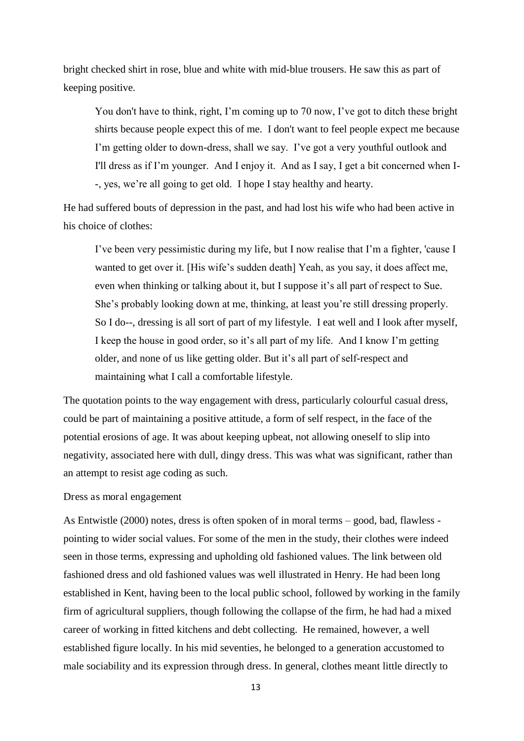bright checked shirt in rose, blue and white with mid-blue trousers. He saw this as part of keeping positive.

You don't have to think, right, I'm coming up to 70 now, I've got to ditch these bright shirts because people expect this of me. I don't want to feel people expect me because I'm getting older to down-dress, shall we say. I've got a very youthful outlook and I'll dress as if I'm younger. And I enjoy it. And as I say, I get a bit concerned when I- -, yes, we're all going to get old. I hope I stay healthy and hearty.

He had suffered bouts of depression in the past, and had lost his wife who had been active in his choice of clothes:

I've been very pessimistic during my life, but I now realise that I'm a fighter, 'cause I wanted to get over it. [His wife's sudden death] Yeah, as you say, it does affect me, even when thinking or talking about it, but I suppose it's all part of respect to Sue. She's probably looking down at me, thinking, at least you're still dressing properly. So I do--, dressing is all sort of part of my lifestyle. I eat well and I look after myself, I keep the house in good order, so it's all part of my life. And I know I'm getting older, and none of us like getting older. But it's all part of self-respect and maintaining what I call a comfortable lifestyle.

The quotation points to the way engagement with dress, particularly colourful casual dress, could be part of maintaining a positive attitude, a form of self respect, in the face of the potential erosions of age. It was about keeping upbeat, not allowing oneself to slip into negativity, associated here with dull, dingy dress. This was what was significant, rather than an attempt to resist age coding as such.

#### Dress as moral engagement

As Entwistle (2000) notes, dress is often spoken of in moral terms – good, bad, flawless pointing to wider social values. For some of the men in the study, their clothes were indeed seen in those terms, expressing and upholding old fashioned values. The link between old fashioned dress and old fashioned values was well illustrated in Henry. He had been long established in Kent, having been to the local public school, followed by working in the family firm of agricultural suppliers, though following the collapse of the firm, he had had a mixed career of working in fitted kitchens and debt collecting. He remained, however, a well established figure locally. In his mid seventies, he belonged to a generation accustomed to male sociability and its expression through dress. In general, clothes meant little directly to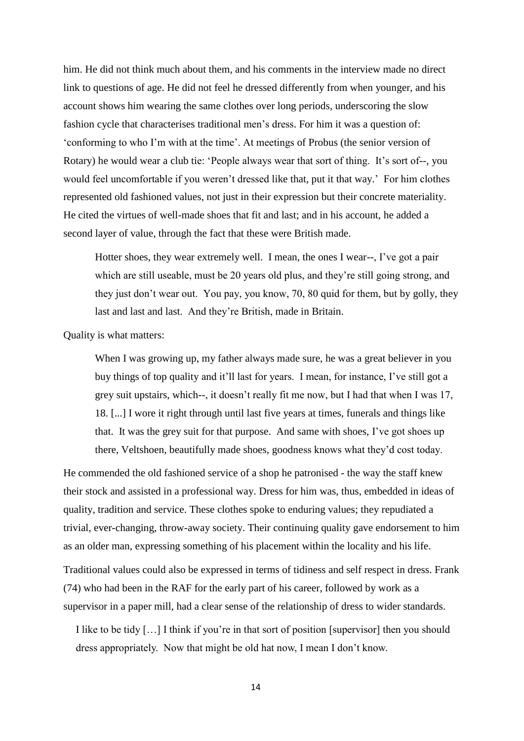him. He did not think much about them, and his comments in the interview made no direct link to questions of age. He did not feel he dressed differently from when younger, and his account shows him wearing the same clothes over long periods, underscoring the slow fashion cycle that characterises traditional men's dress. For him it was a question of: 'conforming to who I'm with at the time'. At meetings of Probus (the senior version of Rotary) he would wear a club tie: 'People always wear that sort of thing. It's sort of--, you would feel uncomfortable if you weren't dressed like that, put it that way.' For him clothes represented old fashioned values, not just in their expression but their concrete materiality. He cited the virtues of well-made shoes that fit and last; and in his account, he added a second layer of value, through the fact that these were British made.

Hotter shoes, they wear extremely well. I mean, the ones I wear--, I've got a pair which are still useable, must be 20 years old plus, and they're still going strong, and they just don't wear out. You pay, you know, 70, 80 quid for them, but by golly, they last and last and last. And they're British, made in Britain.

Quality is what matters:

When I was growing up, my father always made sure, he was a great believer in you buy things of top quality and it'll last for years. I mean, for instance, I've still got a grey suit upstairs, which--, it doesn't really fit me now, but I had that when I was 17, 18. [...] I wore it right through until last five years at times, funerals and things like that. It was the grey suit for that purpose. And same with shoes, I've got shoes up there, Veltshoen, beautifully made shoes, goodness knows what they'd cost today.

He commended the old fashioned service of a shop he patronised - the way the staff knew their stock and assisted in a professional way. Dress for him was, thus, embedded in ideas of quality, tradition and service. These clothes spoke to enduring values; they repudiated a trivial, ever-changing, throw-away society. Their continuing quality gave endorsement to him as an older man, expressing something of his placement within the locality and his life.

Traditional values could also be expressed in terms of tidiness and self respect in dress. Frank (74) who had been in the RAF for the early part of his career, followed by work as a supervisor in a paper mill, had a clear sense of the relationship of dress to wider standards.

I like to be tidy […] I think if you're in that sort of position [supervisor] then you should dress appropriately. Now that might be old hat now, I mean I don't know.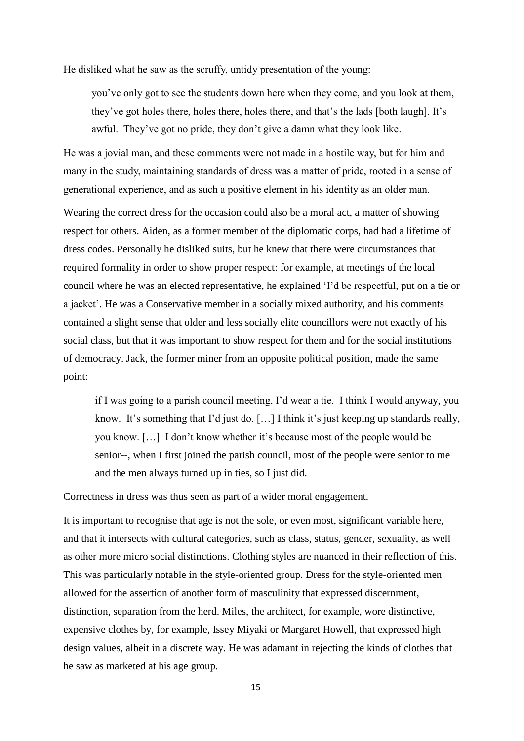He disliked what he saw as the scruffy, untidy presentation of the young:

you've only got to see the students down here when they come, and you look at them, they've got holes there, holes there, holes there, and that's the lads [both laugh]. It's awful. They've got no pride, they don't give a damn what they look like.

He was a jovial man, and these comments were not made in a hostile way, but for him and many in the study, maintaining standards of dress was a matter of pride, rooted in a sense of generational experience, and as such a positive element in his identity as an older man.

Wearing the correct dress for the occasion could also be a moral act, a matter of showing respect for others. Aiden, as a former member of the diplomatic corps, had had a lifetime of dress codes. Personally he disliked suits, but he knew that there were circumstances that required formality in order to show proper respect: for example, at meetings of the local council where he was an elected representative, he explained 'I'd be respectful, put on a tie or a jacket'. He was a Conservative member in a socially mixed authority, and his comments contained a slight sense that older and less socially elite councillors were not exactly of his social class, but that it was important to show respect for them and for the social institutions of democracy. Jack, the former miner from an opposite political position, made the same point:

if I was going to a parish council meeting, I'd wear a tie. I think I would anyway, you know. It's something that I'd just do. […] I think it's just keeping up standards really, you know. […] I don't know whether it's because most of the people would be senior--, when I first joined the parish council, most of the people were senior to me and the men always turned up in ties, so I just did.

Correctness in dress was thus seen as part of a wider moral engagement.

It is important to recognise that age is not the sole, or even most, significant variable here, and that it intersects with cultural categories, such as class, status, gender, sexuality, as well as other more micro social distinctions. Clothing styles are nuanced in their reflection of this. This was particularly notable in the style-oriented group. Dress for the style-oriented men allowed for the assertion of another form of masculinity that expressed discernment, distinction, separation from the herd. Miles, the architect, for example, wore distinctive, expensive clothes by, for example, Issey Miyaki or Margaret Howell, that expressed high design values, albeit in a discrete way. He was adamant in rejecting the kinds of clothes that he saw as marketed at his age group.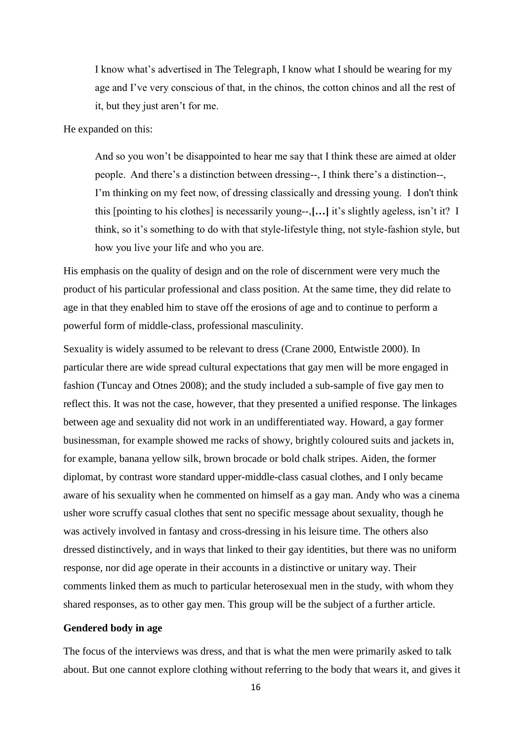I know what's advertised in The Telegraph, I know what I should be wearing for my age and I've very conscious of that, in the chinos, the cotton chinos and all the rest of it, but they just aren't for me.

He expanded on this:

And so you won't be disappointed to hear me say that I think these are aimed at older people. And there's a distinction between dressing--, I think there's a distinction--, I'm thinking on my feet now, of dressing classically and dressing young. I don't think this [pointing to his clothes] is necessarily young--,**[…]** it's slightly ageless, isn't it? I think, so it's something to do with that style-lifestyle thing, not style-fashion style, but how you live your life and who you are.

His emphasis on the quality of design and on the role of discernment were very much the product of his particular professional and class position. At the same time, they did relate to age in that they enabled him to stave off the erosions of age and to continue to perform a powerful form of middle-class, professional masculinity.

Sexuality is widely assumed to be relevant to dress (Crane 2000, Entwistle 2000). In particular there are wide spread cultural expectations that gay men will be more engaged in fashion (Tuncay and Otnes 2008); and the study included a sub-sample of five gay men to reflect this. It was not the case, however, that they presented a unified response. The linkages between age and sexuality did not work in an undifferentiated way. Howard, a gay former businessman, for example showed me racks of showy, brightly coloured suits and jackets in, for example, banana yellow silk, brown brocade or bold chalk stripes. Aiden, the former diplomat, by contrast wore standard upper-middle-class casual clothes, and I only became aware of his sexuality when he commented on himself as a gay man. Andy who was a cinema usher wore scruffy casual clothes that sent no specific message about sexuality, though he was actively involved in fantasy and cross-dressing in his leisure time. The others also dressed distinctively, and in ways that linked to their gay identities, but there was no uniform response, nor did age operate in their accounts in a distinctive or unitary way. Their comments linked them as much to particular heterosexual men in the study, with whom they shared responses, as to other gay men. This group will be the subject of a further article.

#### **Gendered body in age**

The focus of the interviews was dress, and that is what the men were primarily asked to talk about. But one cannot explore clothing without referring to the body that wears it, and gives it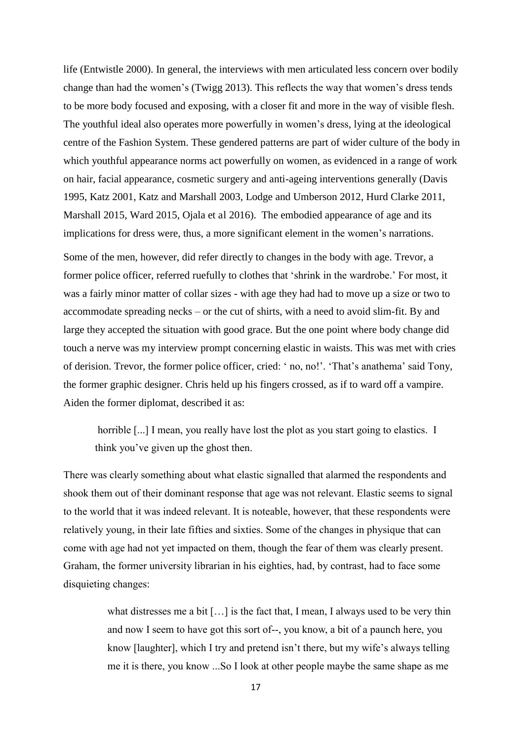life (Entwistle 2000). In general, the interviews with men articulated less concern over bodily change than had the women's (Twigg 2013). This reflects the way that women's dress tends to be more body focused and exposing, with a closer fit and more in the way of visible flesh. The youthful ideal also operates more powerfully in women's dress, lying at the ideological centre of the Fashion System. These gendered patterns are part of wider culture of the body in which youthful appearance norms act powerfully on women, as evidenced in a range of work on hair, facial appearance, cosmetic surgery and anti-ageing interventions generally (Davis 1995, Katz 2001, Katz and Marshall 2003, Lodge and Umberson 2012, Hurd Clarke 2011, Marshall 2015, Ward 2015, Ojala et al 2016). The embodied appearance of age and its implications for dress were, thus, a more significant element in the women's narrations.

Some of the men, however, did refer directly to changes in the body with age. Trevor, a former police officer, referred ruefully to clothes that 'shrink in the wardrobe.' For most, it was a fairly minor matter of collar sizes - with age they had had to move up a size or two to accommodate spreading necks – or the cut of shirts, with a need to avoid slim-fit. By and large they accepted the situation with good grace. But the one point where body change did touch a nerve was my interview prompt concerning elastic in waists. This was met with cries of derision. Trevor, the former police officer, cried: ' no, no!'. 'That's anathema' said Tony, the former graphic designer. Chris held up his fingers crossed, as if to ward off a vampire. Aiden the former diplomat, described it as:

horrible [...] I mean, you really have lost the plot as you start going to elastics. I think you've given up the ghost then.

There was clearly something about what elastic signalled that alarmed the respondents and shook them out of their dominant response that age was not relevant. Elastic seems to signal to the world that it was indeed relevant. It is noteable, however, that these respondents were relatively young, in their late fifties and sixties. Some of the changes in physique that can come with age had not yet impacted on them, though the fear of them was clearly present. Graham, the former university librarian in his eighties, had, by contrast, had to face some disquieting changes:

> what distresses me a bit […] is the fact that, I mean, I always used to be very thin and now I seem to have got this sort of--, you know, a bit of a paunch here, you know [laughter], which I try and pretend isn't there, but my wife's always telling me it is there, you know ...So I look at other people maybe the same shape as me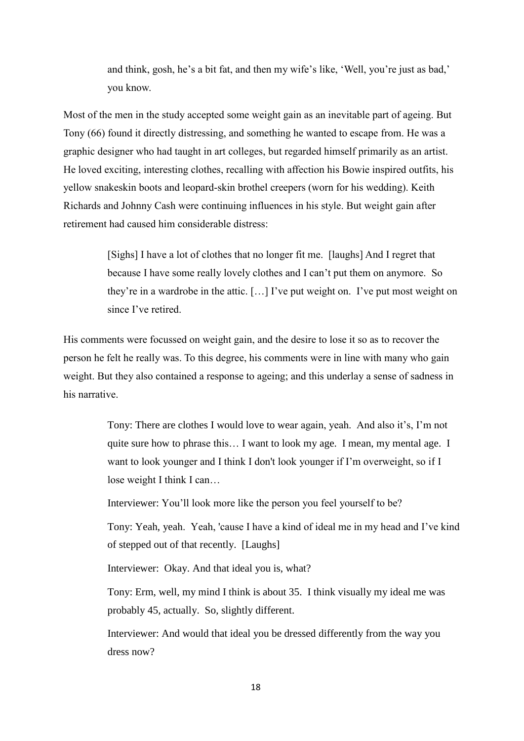and think, gosh, he's a bit fat, and then my wife's like, 'Well, you're just as bad,' you know.

Most of the men in the study accepted some weight gain as an inevitable part of ageing. But Tony (66) found it directly distressing, and something he wanted to escape from. He was a graphic designer who had taught in art colleges, but regarded himself primarily as an artist. He loved exciting, interesting clothes, recalling with affection his Bowie inspired outfits, his yellow snakeskin boots and leopard-skin brothel creepers (worn for his wedding). Keith Richards and Johnny Cash were continuing influences in his style. But weight gain after retirement had caused him considerable distress:

> [Sighs] I have a lot of clothes that no longer fit me. [laughs] And I regret that because I have some really lovely clothes and I can't put them on anymore. So they're in a wardrobe in the attic. […] I've put weight on. I've put most weight on since I've retired.

His comments were focussed on weight gain, and the desire to lose it so as to recover the person he felt he really was. To this degree, his comments were in line with many who gain weight. But they also contained a response to ageing; and this underlay a sense of sadness in his narrative.

> Tony: There are clothes I would love to wear again, yeah. And also it's, I'm not quite sure how to phrase this… I want to look my age. I mean, my mental age. I want to look younger and I think I don't look younger if I'm overweight, so if I lose weight I think I can…

Interviewer: You'll look more like the person you feel yourself to be?

Tony: Yeah, yeah. Yeah, 'cause I have a kind of ideal me in my head and I've kind of stepped out of that recently. [Laughs]

Interviewer: Okay. And that ideal you is, what?

Tony: Erm, well, my mind I think is about 35. I think visually my ideal me was probably 45, actually. So, slightly different.

Interviewer: And would that ideal you be dressed differently from the way you dress now?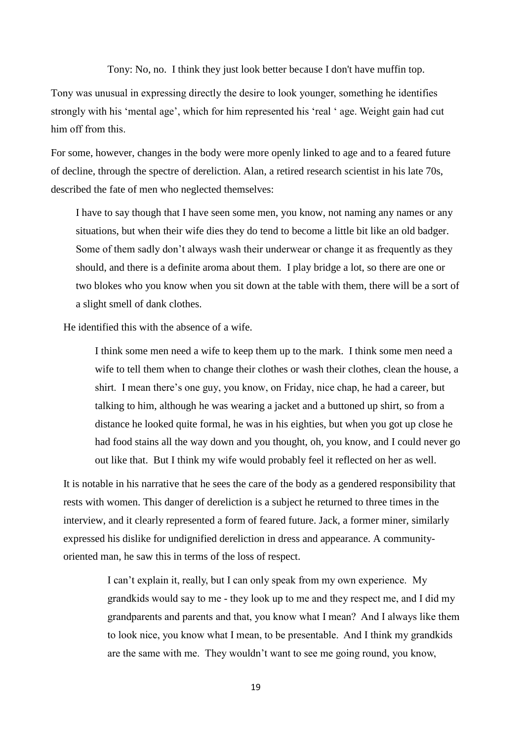Tony: No, no. I think they just look better because I don't have muffin top.

Tony was unusual in expressing directly the desire to look younger, something he identifies strongly with his 'mental age', which for him represented his 'real ' age. Weight gain had cut him off from this.

For some, however, changes in the body were more openly linked to age and to a feared future of decline, through the spectre of dereliction. Alan, a retired research scientist in his late 70s, described the fate of men who neglected themselves:

I have to say though that I have seen some men, you know, not naming any names or any situations, but when their wife dies they do tend to become a little bit like an old badger. Some of them sadly don't always wash their underwear or change it as frequently as they should, and there is a definite aroma about them. I play bridge a lot, so there are one or two blokes who you know when you sit down at the table with them, there will be a sort of a slight smell of dank clothes.

He identified this with the absence of a wife.

I think some men need a wife to keep them up to the mark. I think some men need a wife to tell them when to change their clothes or wash their clothes, clean the house, a shirt. I mean there's one guy, you know, on Friday, nice chap, he had a career, but talking to him, although he was wearing a jacket and a buttoned up shirt, so from a distance he looked quite formal, he was in his eighties, but when you got up close he had food stains all the way down and you thought, oh, you know, and I could never go out like that. But I think my wife would probably feel it reflected on her as well.

It is notable in his narrative that he sees the care of the body as a gendered responsibility that rests with women. This danger of dereliction is a subject he returned to three times in the interview, and it clearly represented a form of feared future. Jack, a former miner, similarly expressed his dislike for undignified dereliction in dress and appearance. A communityoriented man, he saw this in terms of the loss of respect.

> I can't explain it, really, but I can only speak from my own experience. My grandkids would say to me - they look up to me and they respect me, and I did my grandparents and parents and that, you know what I mean? And I always like them to look nice, you know what I mean, to be presentable. And I think my grandkids are the same with me. They wouldn't want to see me going round, you know,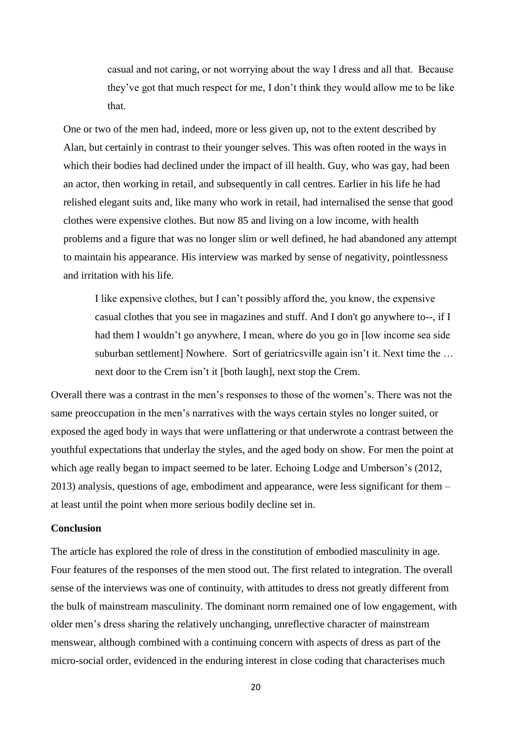casual and not caring, or not worrying about the way I dress and all that. Because they've got that much respect for me, I don't think they would allow me to be like that.

One or two of the men had, indeed, more or less given up, not to the extent described by Alan, but certainly in contrast to their younger selves. This was often rooted in the ways in which their bodies had declined under the impact of ill health. Guy, who was gay, had been an actor, then working in retail, and subsequently in call centres. Earlier in his life he had relished elegant suits and, like many who work in retail, had internalised the sense that good clothes were expensive clothes. But now 85 and living on a low income, with health problems and a figure that was no longer slim or well defined, he had abandoned any attempt to maintain his appearance. His interview was marked by sense of negativity, pointlessness and irritation with his life.

I like expensive clothes, but I can't possibly afford the, you know, the expensive casual clothes that you see in magazines and stuff. And I don't go anywhere to--, if I had them I wouldn't go anywhere, I mean, where do you go in [low income sea side suburban settlement] Nowhere. Sort of geriatricsville again isn't it. Next time the ... next door to the Crem isn't it [both laugh], next stop the Crem.

Overall there was a contrast in the men's responses to those of the women's. There was not the same preoccupation in the men's narratives with the ways certain styles no longer suited, or exposed the aged body in ways that were unflattering or that underwrote a contrast between the youthful expectations that underlay the styles, and the aged body on show. For men the point at which age really began to impact seemed to be later. Echoing Lodge and Umberson's (2012, 2013) analysis, questions of age, embodiment and appearance, were less significant for them – at least until the point when more serious bodily decline set in.

#### **Conclusion**

The article has explored the role of dress in the constitution of embodied masculinity in age. Four features of the responses of the men stood out. The first related to integration. The overall sense of the interviews was one of continuity, with attitudes to dress not greatly different from the bulk of mainstream masculinity. The dominant norm remained one of low engagement, with older men's dress sharing the relatively unchanging, unreflective character of mainstream menswear, although combined with a continuing concern with aspects of dress as part of the micro-social order, evidenced in the enduring interest in close coding that characterises much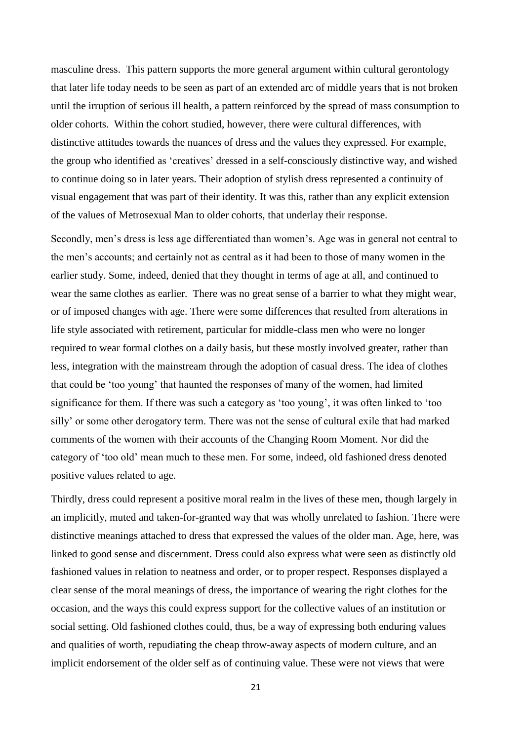masculine dress. This pattern supports the more general argument within cultural gerontology that later life today needs to be seen as part of an extended arc of middle years that is not broken until the irruption of serious ill health, a pattern reinforced by the spread of mass consumption to older cohorts. Within the cohort studied, however, there were cultural differences, with distinctive attitudes towards the nuances of dress and the values they expressed. For example, the group who identified as 'creatives' dressed in a self-consciously distinctive way, and wished to continue doing so in later years. Their adoption of stylish dress represented a continuity of visual engagement that was part of their identity. It was this, rather than any explicit extension of the values of Metrosexual Man to older cohorts, that underlay their response.

Secondly, men's dress is less age differentiated than women's. Age was in general not central to the men's accounts; and certainly not as central as it had been to those of many women in the earlier study. Some, indeed, denied that they thought in terms of age at all, and continued to wear the same clothes as earlier. There was no great sense of a barrier to what they might wear, or of imposed changes with age. There were some differences that resulted from alterations in life style associated with retirement, particular for middle-class men who were no longer required to wear formal clothes on a daily basis, but these mostly involved greater, rather than less, integration with the mainstream through the adoption of casual dress. The idea of clothes that could be 'too young' that haunted the responses of many of the women, had limited significance for them. If there was such a category as 'too young', it was often linked to 'too silly' or some other derogatory term. There was not the sense of cultural exile that had marked comments of the women with their accounts of the Changing Room Moment. Nor did the category of 'too old' mean much to these men. For some, indeed, old fashioned dress denoted positive values related to age.

Thirdly, dress could represent a positive moral realm in the lives of these men, though largely in an implicitly, muted and taken-for-granted way that was wholly unrelated to fashion. There were distinctive meanings attached to dress that expressed the values of the older man. Age, here, was linked to good sense and discernment. Dress could also express what were seen as distinctly old fashioned values in relation to neatness and order, or to proper respect. Responses displayed a clear sense of the moral meanings of dress, the importance of wearing the right clothes for the occasion, and the ways this could express support for the collective values of an institution or social setting. Old fashioned clothes could, thus, be a way of expressing both enduring values and qualities of worth, repudiating the cheap throw-away aspects of modern culture, and an implicit endorsement of the older self as of continuing value. These were not views that were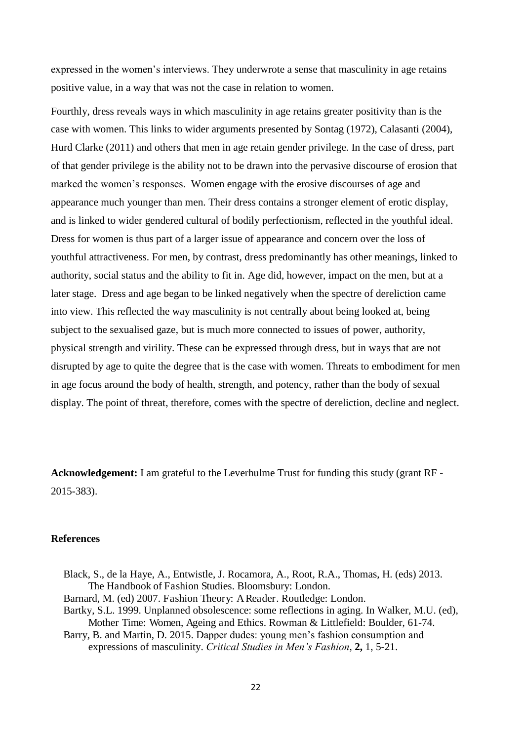expressed in the women's interviews. They underwrote a sense that masculinity in age retains positive value, in a way that was not the case in relation to women.

Fourthly, dress reveals ways in which masculinity in age retains greater positivity than is the case with women. This links to wider arguments presented by Sontag (1972), Calasanti (2004), Hurd Clarke (2011) and others that men in age retain gender privilege. In the case of dress, part of that gender privilege is the ability not to be drawn into the pervasive discourse of erosion that marked the women's responses. Women engage with the erosive discourses of age and appearance much younger than men. Their dress contains a stronger element of erotic display, and is linked to wider gendered cultural of bodily perfectionism, reflected in the youthful ideal. Dress for women is thus part of a larger issue of appearance and concern over the loss of youthful attractiveness. For men, by contrast, dress predominantly has other meanings, linked to authority, social status and the ability to fit in. Age did, however, impact on the men, but at a later stage. Dress and age began to be linked negatively when the spectre of dereliction came into view. This reflected the way masculinity is not centrally about being looked at, being subject to the sexualised gaze, but is much more connected to issues of power, authority, physical strength and virility. These can be expressed through dress, but in ways that are not disrupted by age to quite the degree that is the case with women. Threats to embodiment for men in age focus around the body of health, strength, and potency, rather than the body of sexual display. The point of threat, therefore, comes with the spectre of dereliction, decline and neglect.

**Acknowledgement:** I am grateful to the Leverhulme Trust for funding this study (grant RF - 2015-383).

#### **References**

- Black, S., de la Haye, A., Entwistle, J. Rocamora, A., Root, R.A., Thomas, H. (eds) 2013. The Handbook of Fashion Studies. Bloomsbury: London. Barnard, M. (ed) 2007. Fashion Theory: A Reader. Routledge: London. Bartky, S.L. 1999. Unplanned obsolescence: some reflections in aging. In Walker, M.U. (ed), Mother Time: Women, Ageing and Ethics. Rowman & Littlefield: Boulder, 61-74.
- Barry, B. and Martin, D. 2015. Dapper dudes: young men's fashion consumption and expressions of masculinity. *Critical Studies in Men's Fashion*, **2,** 1, 5-21.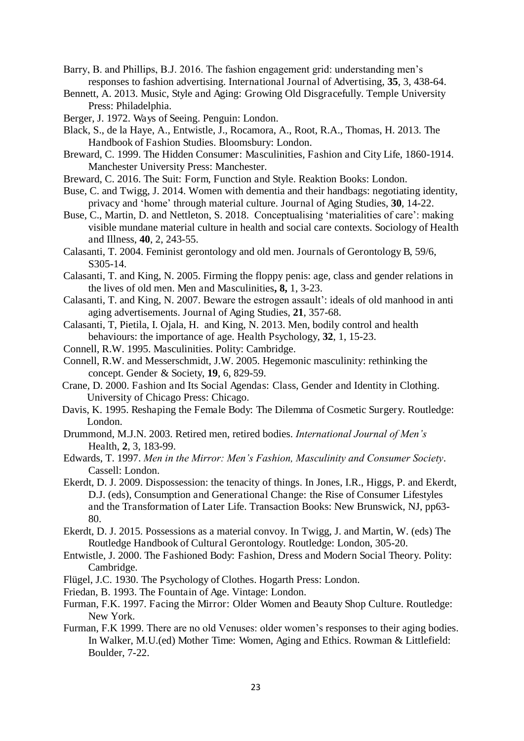- Barry, B. and Phillips, B.J. 2016. The fashion engagement grid: understanding men's responses to fashion advertising. International Journal of Advertising, **35**, 3, 438-64.
- Bennett, A. 2013. Music, Style and Aging: Growing Old Disgracefully. Temple University Press: Philadelphia.
- Berger, J. 1972. Ways of Seeing. Penguin: London.
- Black, S., de la Haye, A., Entwistle, J., Rocamora, A., Root, R.A., Thomas, H. 2013. The Handbook of Fashion Studies. Bloomsbury: London.
- Breward, C. 1999. The Hidden Consumer: Masculinities, Fashion and City Life, 1860-1914. Manchester University Press: Manchester.
- Breward, C. 2016. The Suit: Form, Function and Style. Reaktion Books: London.
- Buse, C. and Twigg, J. 2014. Women with dementia and their handbags: negotiating identity, privacy and 'home' through material culture. Journal of Aging Studies, **30**, 14-22.
- Buse, C., Martin, D. and Nettleton, S. 2018. Conceptualising 'materialities of care': making visible mundane material culture in health and social care contexts. Sociology of Health and Illness, **40**, 2, 243-55.
- Calasanti, T. 2004. Feminist gerontology and old men. Journals of Gerontology B, 59/6, S305-14.
- Calasanti, T. and King, N. 2005. Firming the floppy penis: age, class and gender relations in the lives of old men. Men and Masculinities**, 8,** 1, 3-23.
- Calasanti, T. and King, N. 2007. Beware the estrogen assault': ideals of old manhood in anti aging advertisements. Journal of Aging Studies, **21**, 357-68.
- Calasanti, T, Pietila, I. Ojala, H. and King, N. 2013. Men, bodily control and health behaviours: the importance of age. Health Psychology, **32**, 1, 15-23.
- Connell, R.W. 1995. Masculinities. Polity: Cambridge.
- Connell, R.W. and Messerschmidt, J.W. 2005. Hegemonic masculinity: rethinking the concept. Gender & Society, **19**, 6, 829-59.
- Crane, D. 2000. Fashion and Its Social Agendas: Class, Gender and Identity in Clothing. University of Chicago Press: Chicago.
- Davis, K. 1995. Reshaping the Female Body: The Dilemma of Cosmetic Surgery. Routledge: London.
- Drummond, M.J.N. 2003. Retired men, retired bodies. *International Journal of Men's*  Health, **2**, 3, 183-99.
- Edwards, T. 1997. *Men in the Mirror: Men's Fashion, Masculinity and Consumer Society*. Cassell: London.
- Ekerdt, D. J. 2009. Dispossession: the tenacity of things. In Jones, I.R., Higgs, P. and Ekerdt, D.J. (eds), Consumption and Generational Change: the Rise of Consumer Lifestyles and the Transformation of Later Life. Transaction Books: New Brunswick, NJ, pp63- 80.
- Ekerdt, D. J. 2015. Possessions as a material convoy. In Twigg, J. and Martin, W. (eds) The Routledge Handbook of Cultural Gerontology. Routledge: London, 305-20.
- Entwistle, J. 2000. The Fashioned Body: Fashion, Dress and Modern Social Theory. Polity: Cambridge.
- Flügel, J.C. 1930. The Psychology of Clothes. Hogarth Press: London.
- Friedan, B. 1993. The Fountain of Age. Vintage: London.
- Furman, F.K. 1997. Facing the Mirror: Older Women and Beauty Shop Culture. Routledge: New York.
- Furman, F.K 1999. There are no old Venuses: older women's responses to their aging bodies. In Walker, M.U.(ed) Mother Time: Women, Aging and Ethics. Rowman & Littlefield: Boulder, 7-22.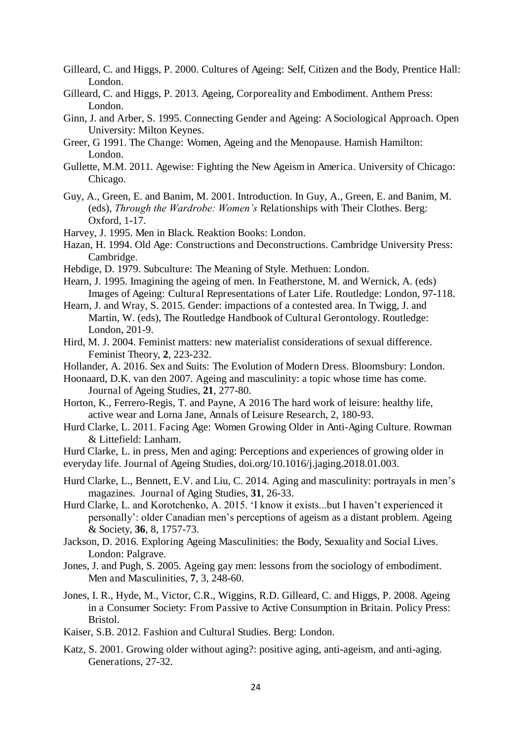- Gilleard, C. and Higgs, P. 2000. Cultures of Ageing: Self, Citizen and the Body, Prentice Hall: London.
- Gilleard, C. and Higgs, P. 2013. Ageing, Corporeality and Embodiment. Anthem Press: London.
- Ginn, J. and Arber, S. 1995. Connecting Gender and Ageing: A Sociological Approach. Open University: Milton Keynes.
- Greer, G 1991. The Change: Women, Ageing and the Menopause. Hamish Hamilton: London.
- Gullette, M.M. 2011. Agewise: Fighting the New Ageism in America. University of Chicago: Chicago.
- Guy, A., Green, E. and Banim, M. 2001. Introduction. In Guy, A., Green, E. and Banim, M. (eds), *Through the Wardrobe: Women's* Relationships with Their Clothes. Berg: Oxford, 1-17.
- Harvey, J. 1995. Men in Black. Reaktion Books: London.
- Hazan, H. 1994. Old Age: Constructions and Deconstructions. Cambridge University Press: Cambridge.
- Hebdige, D. 1979. Subculture: The Meaning of Style. Methuen: London.
- Hearn, J. 1995. Imagining the ageing of men. In Featherstone, M. and Wernick, A. (eds) Images of Ageing: Cultural Representations of Later Life. Routledge: London, 97-118.
- Hearn, J. and Wray, S. 2015. Gender: impactions of a contested area. In Twigg, J. and Martin, W. (eds), The Routledge Handbook of Cultural Gerontology. Routledge: London, 201-9.
- Hird, M. J. 2004. Feminist matters: new materialist considerations of sexual difference. Feminist Theory, **2**, 223-232.
- Hollander, A. 2016. Sex and Suits: The Evolution of Modern Dress. Bloomsbury: London.
- Hoonaard, D.K. van den 2007. Ageing and masculinity: a topic whose time has come. Journal of Ageing Studies, **21**, 277-80.
- Horton, K., Ferrero-Regis, T. and Payne, A 2016 The hard work of leisure: healthy life, active wear and Lorna Jane, Annals of Leisure Research, 2, 180-93.
- Hurd Clarke, L. 2011. Facing Age: Women Growing Older in Anti-Aging Culture. Rowman & Littefield: Lanham.
- Hurd Clarke, L. in press, Men and aging: Perceptions and experiences of growing older in everyday life. Journal of Ageing Studies, doi.org/10.1016/j.jaging.2018.01.003.
- Hurd Clarke, L., Bennett, E.V. and Liu, C. 2014. Aging and masculinity: portrayals in men's magazines. Journal of Aging Studies, **31**, 26-33.
- Hurd Clarke, L. and Korotchenko, A. 2015. 'I know it exists...but I haven't experienced it personally': older Canadian men's perceptions of ageism as a distant problem. Ageing & Society, **36**, 8, 1757-73.
- Jackson, D. 2016. Exploring Ageing Masculinities: the Body, Sexuality and Social Lives. London: Palgrave.
- Jones, J. and Pugh, S. 2005. Ageing gay men: lessons from the sociology of embodiment. Men and Masculinities, **7**, 3, 248-60.
- Jones, I. R., Hyde, M., Victor, C.R., Wiggins, R.D. Gilleard, C. and Higgs, P. 2008. Ageing in a Consumer Society: From Passive to Active Consumption in Britain. Policy Press: Bristol.
- Kaiser, S.B. 2012. Fashion and Cultural Studies. Berg: London.
- Katz, S. 2001. Growing older without aging?: positive aging, anti-ageism, and anti-aging. Generations, 27-32.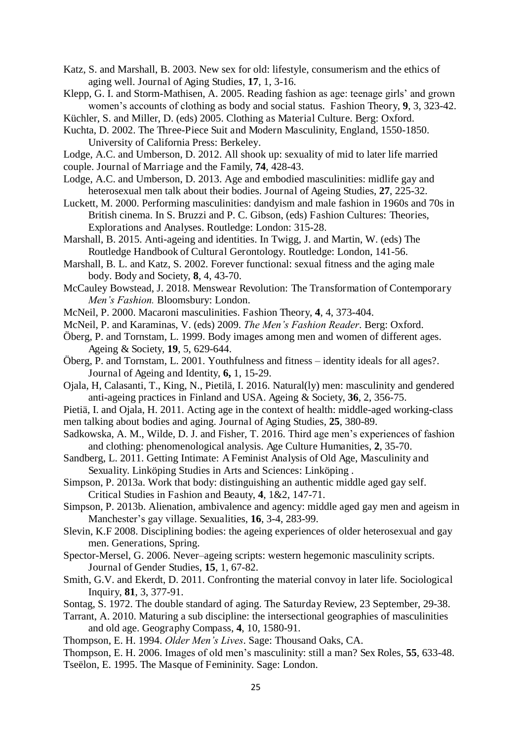- Katz, S. and Marshall, B. 2003. New sex for old: lifestyle, consumerism and the ethics of aging well. Journal of Aging Studies, **17**, 1, 3-16.
- Klepp, G. I. and Storm-Mathisen, A. 2005. Reading fashion as age: teenage girls' and grown women's accounts of clothing as body and social status. Fashion Theory, **9**, 3, 323-42.

Küchler, S. and Miller, D. (eds) 2005. Clothing as Material Culture. Berg: Oxford.

Kuchta, D. 2002. The Three-Piece Suit and Modern Masculinity, England, 1550-1850. University of California Press: Berkeley.

Lodge, A.C. and Umberson, D. 2012. All shook up: sexuality of mid to later life married

couple. Journal of Marriage and the Family, **74**, 428-43.

- Lodge, A.C. and Umberson, D. 2013. Age and embodied masculinities: midlife gay and heterosexual men talk about their bodies. Journal of Ageing Studies, **27**, 225-32.
- Luckett, M. 2000. Performing masculinities: dandyism and male fashion in 1960s and 70s in British cinema. In S. Bruzzi and P. C. Gibson, (eds) Fashion Cultures: Theories, Explorations and Analyses. Routledge: London: 315-28.
- Marshall, B. 2015. Anti-ageing and identities. In Twigg, J. and Martin, W. (eds) The Routledge Handbook of Cultural Gerontology. Routledge: London, 141-56.
- Marshall, B. L. and Katz, S. 2002. Forever functional: sexual fitness and the aging male body. Body and Society, **8**, 4, 43-70.
- McCauley Bowstead, J. 2018. Menswear Revolution: The Transformation of Contemporary *Men's Fashion.* Bloomsbury: London.
- McNeil, P. 2000. Macaroni masculinities. Fashion Theory, **4**, 4, 373-404.
- McNeil, P. and Karaminas, V. (eds) 2009. *The Men's Fashion Reader*. Berg: Oxford.
- Öberg, P. and Tornstam, L. 1999. Body images among men and women of different ages. Ageing & Society, **19**, 5, 629-644.
- Öberg, P. and Tornstam, L. 2001. Youthfulness and fitness identity ideals for all ages?. Journal of Ageing and Identity, **6,** 1, 15-29.
- Ojala, H, Calasanti, T., King, N., Pietilä, I. 2016. Natural(ly) men: masculinity and gendered anti-ageing practices in Finland and USA. Ageing & Society, **36**, 2, 356-75.
- Pietiä, I. and Ojala, H. 2011. Acting age in the context of health: middle-aged working-class men talking about bodies and aging. Journal of Aging Studies, **25**, 380-89.
- Sadkowska, A. M., Wilde, D. J. and Fisher, T. 2016. Third age men's experiences of fashion and clothing: phenomenological analysis. Age Culture Humanities, **2**, 35-70.
- Sandberg, L. 2011. Getting Intimate: A Feminist Analysis of Old Age, Masculinity and Sexuality. Linköping Studies in Arts and Sciences: Linköping .
- Simpson, P. 2013a. Work that body: distinguishing an authentic middle aged gay self. Critical Studies in Fashion and Beauty, **4**, 1&2, 147-71.
- Simpson, P. 2013b. Alienation, ambivalence and agency: middle aged gay men and ageism in Manchester's gay village. Sexualities, **16**, 3-4, 283-99.
- Slevin, K.F 2008. Disciplining bodies: the ageing experiences of older heterosexual and gay men. Generations, Spring.
- Spector-Mersel, G. 2006. Never–ageing scripts: western hegemonic masculinity scripts. Journal of Gender Studies, **15**, 1, 67-82.
- Smith, G.V. and Ekerdt, D. 2011. Confronting the material convoy in later life. Sociological Inquiry, **81**, 3, 377-91.
- Sontag, S. 1972. The double standard of aging. The Saturday Review, 23 September, 29-38.
- Tarrant, A. 2010. Maturing a sub discipline: the intersectional geographies of masculinities and old age. Geography Compass, **4**, 10, 1580-91.
- Thompson, E. H. 1994. *Older Men's Lives*. Sage: Thousand Oaks, CA.

Thompson, E. H. 2006. Images of old men's masculinity: still a man? Sex Roles, **55**, 633-48. Tseëlon, E. 1995. The Masque of Femininity. Sage: London.